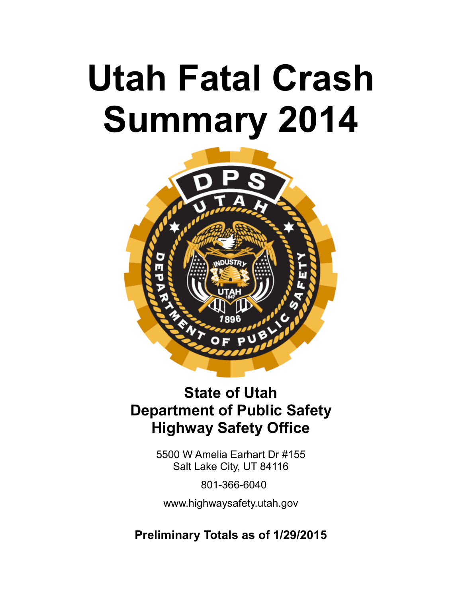# **Utah Fatal Crash Summary 2014**



# **State of Utah Department of Public Safety Highway Safety Office**

5500 W Amelia Earhart Dr #155 Salt Lake City, UT 84116

801-366-6040

www.highwaysafety.utah.gov

**Preliminary Totals as of 1/29/2015**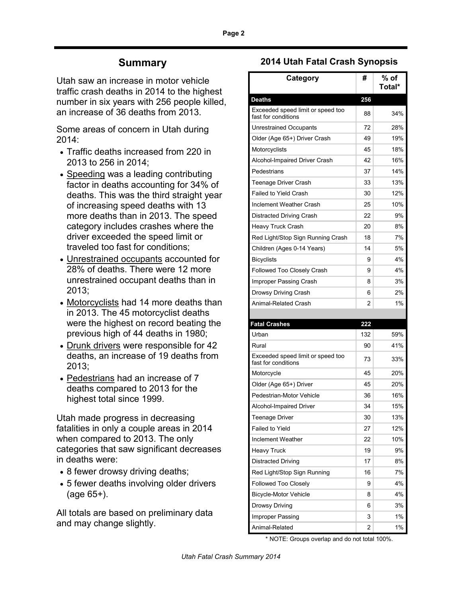### **Summary**

Utah saw an increase in motor vehicle traffic crash deaths in 2014 to the highest number in six years with 256 people killed, an increase of 36 deaths from 2013.

Some areas of concern in Utah during 2014:

- Traffic deaths increased from 220 in 2013 to 256 in 2014;
- Speeding was a leading contributing factor in deaths accounting for 34% of deaths. This was the third straight year of increasing speed deaths with 13 more deaths than in 2013. The speed category includes crashes where the driver exceeded the speed limit or traveled too fast for conditions;
- Unrestrained occupants accounted for 28% of deaths. There were 12 more unrestrained occupant deaths than in 2013;
- Motorcyclists had 14 more deaths than in 2013. The 45 motorcyclist deaths were the highest on record beating the previous high of 44 deaths in 1980;
- Drunk drivers were responsible for 42 deaths, an increase of 19 deaths from 2013;
- Pedestrians had an increase of 7 deaths compared to 2013 for the highest total since 1999.

Utah made progress in decreasing fatalities in only a couple areas in 2014 when compared to 2013. The only categories that saw significant decreases in deaths were:

- 8 fewer drowsy driving deaths;
- 5 fewer deaths involving older drivers (age 65+).

All totals are based on preliminary data and may change slightly.

### **2014 Utah Fatal Crash Synopsis**

| Category                                                 | #   | $%$ of<br>Total* |
|----------------------------------------------------------|-----|------------------|
| <b>Deaths</b>                                            | 256 |                  |
| Exceeded speed limit or speed too<br>fast for conditions | 88  | 34%              |
| Unrestrained Occupants                                   | 72  | 28%              |
| Older (Age 65+) Driver Crash                             | 49  | 19%              |
| Motorcyclists                                            | 45  | 18%              |
| Alcohol-Impaired Driver Crash                            | 42  | 16%              |
| Pedestrians                                              | 37  | 14%              |
| Teenage Driver Crash                                     | 33  | 13%              |
| <b>Failed to Yield Crash</b>                             | 30  | 12%              |
| <b>Inclement Weather Crash</b>                           | 25  | 10%              |
| Distracted Driving Crash                                 | 22  | 9%               |
| Heavy Truck Crash                                        | 20  | 8%               |
| Red Light/Stop Sign Running Crash                        | 18  | 7%               |
| Children (Ages 0-14 Years)                               | 14  | 5%               |
| <b>Bicyclists</b>                                        | 9   | 4%               |
| Followed Too Closely Crash                               | 9   | 4%               |
| Improper Passing Crash                                   | 8   | 3%               |
| Drowsy Driving Crash                                     | 6   | 2%               |
| Animal-Related Crash                                     | 2   | 1%               |
|                                                          |     |                  |
| <b>Fatal Crashes</b>                                     | 222 |                  |
| Urban                                                    | 132 | 59%              |
| Rural                                                    | 90  | 41%              |
| Exceeded speed limit or speed too<br>fast for conditions | 73  | 33%              |
| Motorcycle                                               | 45  | 20%              |
| Older (Age 65+) Driver                                   | 45  | 20%              |
| Pedestrian-Motor Vehicle                                 | 36  | 16%              |
| Alcohol-Impaired Driver                                  | 34  | 15%              |
| <b>Teenage Driver</b>                                    | 30  | 13%              |
| Failed to Yield                                          | 27  | 12%              |
| Inclement Weather                                        | 22  | 10%              |
| <b>Heavy Truck</b>                                       | 19  | 9%               |
| <b>Distracted Driving</b>                                | 17  | 8%               |
| Red Light/Stop Sign Running                              | 16  | 7%               |
| Followed Too Closely                                     | 9   | 4%               |
| <b>Bicycle-Motor Vehicle</b>                             | 8   | 4%               |
| Drowsy Driving                                           | 6   | 3%               |
| Improper Passing                                         | 3   | 1%               |
| Animal-Related                                           | 2   | 1%               |

\* NOTE: Groups overlap and do not total 100%.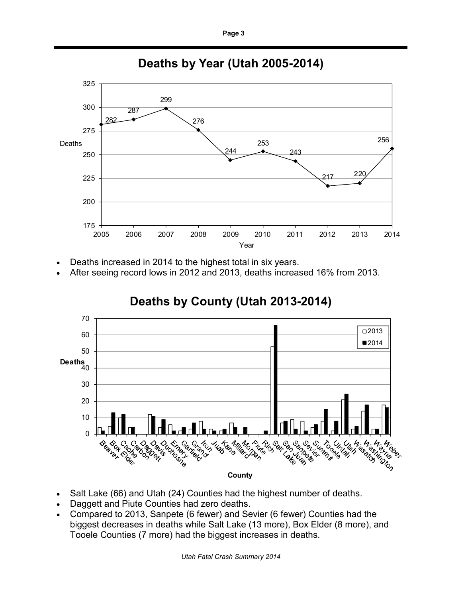

### **Deaths by Year (Utah 2005-2014)**

- Deaths increased in 2014 to the highest total in six years.
- After seeing record lows in 2012 and 2013, deaths increased 16% from 2013.



# **Deaths by County (Utah 2013-2014)**

- Salt Lake (66) and Utah (24) Counties had the highest number of deaths.
- Daggett and Piute Counties had zero deaths.
- Compared to 2013, Sanpete (6 fewer) and Sevier (6 fewer) Counties had the biggest decreases in deaths while Salt Lake (13 more), Box Elder (8 more), and Tooele Counties (7 more) had the biggest increases in deaths.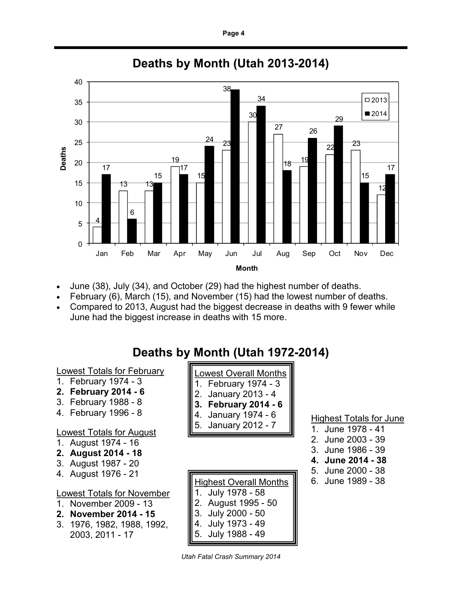

## **Deaths by Month (Utah 2013-2014)**

- June (38), July (34), and October (29) had the highest number of deaths.
- February (6), March (15), and November (15) had the lowest number of deaths.
- Compared to 2013, August had the biggest decrease in deaths with 9 fewer while June had the biggest increase in deaths with 15 more.

# **Deaths by Month (Utah 1972-2014)**

Lowest Totals for February

- 1. February 1974 3
- **2. February 2014 - 6**
- 3. February 1988 8 4. February 1996 - 8

- Lowest Totals for August
- 1. August 1974 16
- **2. August 2014 - 18**
- 3. August 1987 20 4. August 1976 - 21

### Lowest Totals for November

- 1. November 2009 13
- **2. November 2014 - 15**
- 3. 1976, 1982, 1988, 1992, 2003, 2011 - 17

| ∥1. February 1974 - 3                                                     |
|---------------------------------------------------------------------------|
|                                                                           |
|                                                                           |
| 2. January 2013 - 4<br><b>3. February 2014 - 6</b><br>4. January 1974 - 6 |
| 5. January 2012 - 7                                                       |

Lowest Overall Months

### Highest Overall Months 1. July 1978 - 58 2. August 1995 - 50 3. July 2000 - 50 4. July 1973 - 49 5. July 1988 - 49

*Utah Fatal Crash Summary 2014*

**Highest Totals for June** 

- 1. June 1978 41
- 2. June 2003 39
- 3. June 1986 39
- **4. June 2014 - 38**
- 5. June 2000 38
- 6. June 1989 38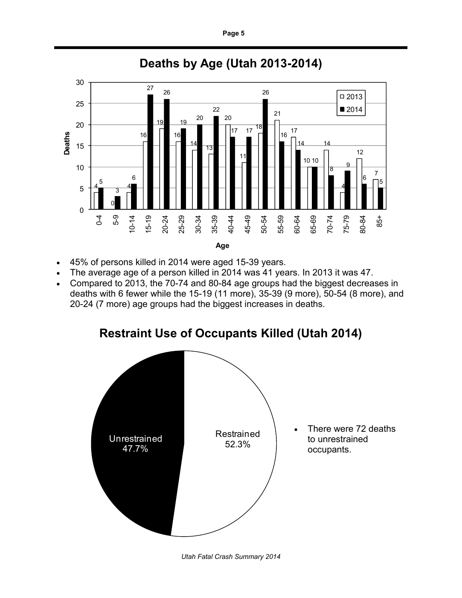

## **Deaths by Age (Utah 2013-2014)**

- 45% of persons killed in 2014 were aged 15-39 years.
- The average age of a person killed in 2014 was 41 years. In 2013 it was 47.
- Compared to 2013, the 70-74 and 80-84 age groups had the biggest decreases in deaths with 6 fewer while the 15-19 (11 more), 35-39 (9 more), 50-54 (8 more), and 20-24 (7 more) age groups had the biggest increases in deaths.

### **Restraint Use of Occupants Killed (Utah 2014)**



*Utah Fatal Crash Summary 2014*